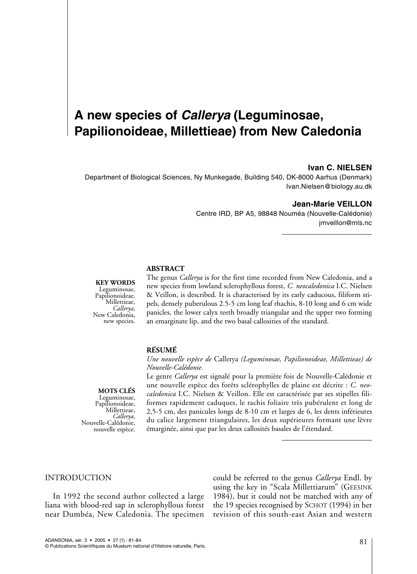## *a*ledonia **(Leguminosae,**

#### **Ivan C. NIELSEN**

Department of Biological Sciences, Ny Munkegade, Building 540, DK-8000 Aarhus (Denmark) Ivan.Nielsen@biology.au.dk

#### **Jean-Marie VEILLON**

Centre IRD, BP A5, 98848 Nouméa (Nouvelle-Calédonie) imveillon@mls.nc

## new species from lowland sclerophyllous forest, *C. neocaledonica*

#### **Y** WORDS

minosae, Papilionoideae, Millettieae, new species.

 *Callerya* is for the first time recorded from New Caledonia, and a edonia, and a<br>! I.C. Nielsen  $\Delta$ BOJIMACI $\Gamma$  is described. It is described. It is easily called by  $\Gamma$ per long per long published published and the person of the control of the control and 6 cm with the control of the control of the control of the control of the control of the control of the control of the control of the c and venion, is described. It is characterised by its early caducous, inflorm su-<br>pels, densely puberulous 2.5-5 cm long leaf rhachis, 8-10 long and 6 cm wide new species from lowland sclerophyllous forest, C. neocaledonica I.C. Nielsen<br>& Veillon, is described. It is characterised by its early caducous, filiform stipanicles, the lower calyx teeth broadly triangular and the upper two forming an emarginate lip, and the two basal callosities of the standard.

### *Nouvelle-Calédonie.*

**(RÉSUMÉ<br>***Une nouvelle espèce de* **Callerya** *(Leguminosae, Papilionoideae, Millettieae) de***<br>***Nouvelle-Calédonie.***<br>Le genre** *Callerya* **est signalé pour la première fois de Nouvelle-Calédonie et** une nouvelle espèce de Canciya (Leguminosue, i apliconoideae, ivili *Nouvelle-Calédonie.* 

OTS CLÉS minosae, Papilionoideae, nd<sub>r</sub> Millettieae, Callerya, Nouvelle-Calédonie, nouvelle espèce.

*Une nouvelle espece de* Callerya (*Leguminosae, Papitionoideae, Millettiede) de<br><i>Nouvelle-Calédonie.*<br>Le genre *Callerya* est signalé pour la première fois de Nouvelle-Calédonie et<br>une nouvelle espèce des forêts sclérophy *I.e genre Callerya est signalé pour la première fois de Nouvelle-Calédonie et<br>une nouvelle espèce des forêts sclérophylles de plaine est décrite : C. neo-<br>caledonica I.C. Nielsen & Veillon. Elle est caractérisée par ses s* formes rapidément caduques, le racins fonance des pubertuent et long de foliveire espece des foreis scierophyles de plaine est decrité. C. *neo-*<br>*onica* I.C. Nielsen & Veillon. Elle est caractérisée par ses stipelles fili-<br>es rapidement caduques, le rachis foliaire très pubérulent et long de<br> du caliculatura i.C. intersett ex venton, lite est calacterise par ses supéries findu calice largement triangulaires, les deux supérieures formant une lèvre émarginée, ainsi que par les deux callosités basales de l'étendard.

#### $\sum_{i=1}^{n}$ **INTRODUCTION**

In 1992 the second author collected a large liana with blood-red sap in sclerophyllous forest near Dumbéa, New Caledonia. The specimen

 $\mathfrak{l}$ ould be referred to the genus *Callerya* Endl. by could be referred to the genus *Callerya* Endl. by<br>using the key in "Scala Millettiarum" (GEESINK *lerya* Endl. by<br>1m" (GEESINK<br>d with any of<br>(1994) in her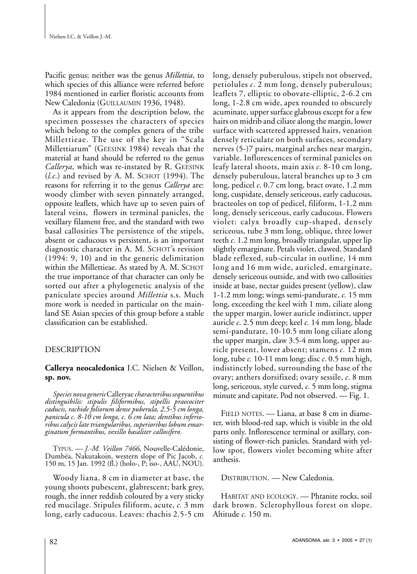Pacific genus; neither was the genus *Millettia*, to Pacific genus; neither was the genus *Millettia*, to<br>which species of this alliance were referred before<br>1984 mentioned in earlier floristic accounts from<br>New Caledonia (GUILLAUMIN 1936, 1948). 1984 mentioned in earlier floristic accounts from  $\alpha$  is a species of this alliance were referred before New Caledonia (GUILLAUMIN 1936, 1948).

As it appears from the description below, the specimen possesses the characters of species specimen possesses the characters of species<br>which belong to the complex genera of the tribe e characters of species<br>plex genera of the tribe<br>of the key in "Scala<br>1984) reveals that the Millettiarum" (GEESINK 1984) reveals that the<br>material at hand should be referred to the genus<br>*Callerya*, which was re-instated by R. GEESINK<br>(*l.c.*) and revised by A. M. SCHOT (1994). The *Millettiarum*" (GEESINK 1984) reveals that the *Callerya*, which was re-instated by R. GEESINK material at hand should be referred to the genus reasons for referring it to the genus *Callerya* are: woody climber with seven pinnately arranged,  $(l.c.)$  and revised by A. M. SCHOT (1994). The opposite leaflets, which have up to seven pairs of lateral veins, flowers in terminal panicles, the vexillary filament free, and the standard with two vexillary filament free, and the standard with two<br>basal callosities The persistence of the stipels, absent or caducous vs persistent, is an important absent or caducous vs persistent, is an important<br>diagnostic character in A. M. SCHOT's revision  $(1994: 9, 10)$  and in the generic delimitation within the Millettieae. As stated by A. M. SCHOT the true importance of that character can only be within the Millettieae. As stated by A. M. SCHOT<br>the true importance of that character can only be<br>sorted out after a phylogenetic analysis of the<br>paniculate species around *Millettia* s.s. Much land SE Asian species of this group before a stable paniculate species around *Millettia* s.s. Much<br>more work is needed in particular on the mainclassification can be established.

### **Callerya neocaledonica** I.C. Nielsen & Veillon,**sp. nov.**

### *Species neocaledonica* I.C. Nielsen & Veillon, *distinguibilis: stipulis filiformibus, stipellis praecociter*

Species nova generis Calleryae *characteribus sequentibus* distinguibilis: stipulis filiformibus, stipellis praecociter caducis, rachide foliorum dense puberula, 2.5-5 cm longa, panicula c. 8-10 cm longa, c. 6 cm lata; dentibus inferioribus calycis late triangularibus, superioribus lobum emarginatum formantibus, vexillo basaliter callosifero.<br>J.-M. Veillon 7466, Nouvelle-Calédonie,<br>TYPUS. — J.-M. Veillon 7466, Nouvelle-Calédonie, ribus calycis late triangularibus, superioribus lobum emar-<br>ginatum formantibus, vexillo basaliter callosifero.

T<sub>ITOS</sub>, <u>—</u> *J.-M. Vellion* / 400, induvent-Caledonie,<br>umbéa, Nakutakoin, western slope of Pic Jacob, *c.*  $150 \text{ m}$ ,  $15 \text{ Jan. } 1992 \text{ (fl.) } \text{(holo-, P; iso-, AAU, NOU).}$ 

Woody liana, 8 cm in diameter at base, the young shoots pubescent, glabrescent; bark grey, rough, the inner reddish coloured by a very stickyrough, the inner reddish coloured by a very sticky red mucilage. Stipules filiform, acute, c. 3 mm ong, early caducous. Leaves: machis 2.3-3 cm

long, densely puberulous, stipels not observed, petiolules  $c$ .  $2 \text{ mm}$  long, densely puberulous; leaflets  $\lambda$ , elliptic to obovate-elliptic, 2-6.2 cm long, densely puberulous, stipels not observed, long,  $1-2.8$  cm wide, apex rounded to obscurely acuminate, upper surface glabrous except for a few hairs on midrib and ciliate along the margin, lower surface with scattered appressed hairs, venation densely reticulate on both surfaces, secondary variable. Inflorescences of terminal panicles on aces, secondary<br>es near margin,<br>nal panicles on<br>8-10 cm long, nerves  $(5-)$ / pairs, marginal arches near margin, densely puberulous, lateral branches up to  $\beta$  cm es on<br>ong,<br>3 cm<br>mm leafy lateral shoots, main axis  $c$ . 8-10 cm long, long, cuspidate, densely sericeous, early caducous, bracteoles on top of pedicel, filiform, 1-1.2 mm long, pedicel  $\epsilon$ . 0.7 cm long, bract ovate, 1.2 mm long, densely sericeous, early caducous. Flowers violet: calyx broadly cup-shaped, densely 1.2 mm long, densely sericeous, early caducous. Flowers<br>violet: calyx broadly cup-shaped, densely<br>sericeous, tube 3 mm long, oblique, three lower<br>teeth c. 1.2 mm long, broadly triangular, upper lip slightly emarginate. Petals violet, clawed. Standard blade reflexed, sub-circular in outline, 14 mm teeth c. 1.2 mm long, broadly triangular, upper lip long and 16 mm wide, auricled, emarginate, densely sericeous outside, and with two callosities 16 mm wide, auricled, emarginate,<br>densely sericeous outside, and with two callosities<br>inside at base, nectar guides present (yellow), claw<br>1-1.2 mm long: wings semi-pandurate. c. 15 mm long, exceeding the keel with 1 mm, ciliate along 1-1.2 mm long; wings semi-pandurate, c. 15 mm 1-1.2 mm long; wings semi-pandurate, *c*. 15 mm<br>long, exceeding the keel with 1 mm, ciliate along<br>the upper margin, lower auricle indistinct, upper<br>auricle *c*. 2.5 mm deep: keel *c*. 14 mm long, blade auricle  $c. 2.5$  mm deep; keel  $c. 14$  mm long, blade ng, biade<br>te along<br>pper au-<br>12 mm .<br>emi-pandu rate, 10-10.5 mm long ciliate along<br>argin, claw 3.5-4 mm long, upper au-<br>it, lower absent; stamens *c*. 12 mm<br>10-11 mm long; disc *c*. 0.5 mm high, the upper margin, claw  $3.5-4$  mm long, upper auindistinctly lobed, surrounding the base of the ricle present, lower absent; stamens c. 12 mm long, tube  $c. 10-11$  mm long; disc  $c. 0.5$  mm high, fisc  $c$ . 0.5 mm high,<br>ing the base of the<br>iry sessile,  $c$ . 8 mm<br>5 mm long, stigma base of the e,  $c$ . 8 mn<br>ong, stigm:<br>— Fig. 1. ng, sericeous, style curved, *c.* 5 mm long, stigma<br>inute and capitate. Pod not observed. — Fig. 1.<br>FIELD NOTES. — Liana, at base 8 cm in diameminute and capitate. Pod not observed. — Fig. 1.

ter, with blood-red sap, which is visible in the old parts only. Inflorescence terminal or axillary, con- $F\text{IED NOTES.}$   $\longrightarrow$  Liana, at base 8 cm in diamew spot, flowers violet becoming white after<br>thesis. parts only. Inflorescence terminal or axillary, consisting of flower-rich panicles. Standard with yel-

DISTRIBUTION. - New Caledonia.

DISTRIBUTION. — New Caledonia.<br>HABITAT AND ECOLOGY. — Phtanite rocks, soil<br>dark brown. Sclerophyllous forest on slope.<br>Altitude *c*. 150 m. dark brown. Sclerophyllous forest on slope.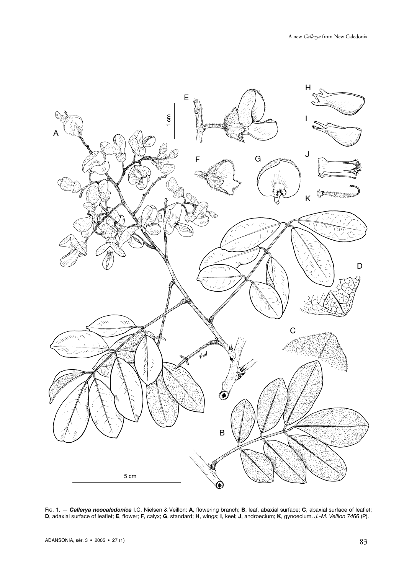

D, adaxial surface of leaflet; E, flower; F, calyx; G, standard; H, wings; I, keel; J, androecium; K, gynoecium. *J.-M. Veillon 7466 (*P)<br>ADANSONIA, sér. 3 • 2005 • 27 (1)